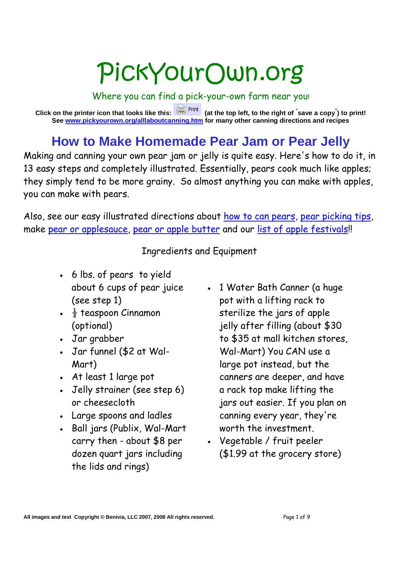# PickYourOwn.org

Where you can find a pick-your-own farm near you!

**Click on the printer icon that looks like this: (at the top left, to the right of " save a copy" ) to print! See www.pickyourown.org/alllaboutcanning.htm for many other canning directions and recipes**

## **How to Make Homemade Pear Jam or Pear Jelly**

Making and canning your own pear jam or jelly is quite easy. Here's how to do it, in 13 easy steps and completely illustrated. Essentially, pears cook much like apples; they simply tend to be more grainy. So almost anything you can make with apples, you can make with pears.

Also, see our easy illustrated directions about how to can pears, pear picking tips, make pear or applesauce, pear or apple butter and our list of apple festivals!

Ingredients and Equipment

- 6 lbs. of pears to yield about 6 cups of pear juice (see step 1)
- $\frac{1}{2}$  teaspoon Cinnamon (optional)
- Jar grabber
- Jar funnel (\$2 at Wal-Mart)
- At least 1 large pot
- Jelly strainer (see step 6) or cheesecloth
- Large spoons and ladles
- Ball jars (Publix, Wal-Mart carry then - about \$8 per dozen quart jars including the lids and rings)
- 1 Water Bath Canner (a huge pot with a lifting rack to sterilize the jars of apple jelly after filling (about \$30 to \$35 at mall kitchen stores, Wal-Mart) You CAN use a large pot instead, but the canners are deeper, and have a rack top make lifting the jars out easier. If you plan on canning every year, they're worth the investment.
- Vegetable / fruit peeler (\$1.99 at the grocery store)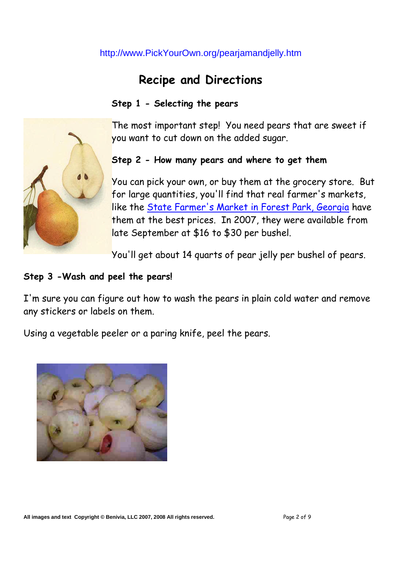### **Recipe and Directions**

#### **Step 1 - Selecting the pears**

The most important step! You need pears that are sweet if you want to cut down on the added sugar.

#### **Step 2 - How many pears and where to get them**

You can pick your own, or buy them at the grocery store. But for large quantities, you'll find that real farmer's markets, like the State Farmer's Market in Forest Park, Georgia have them at the best prices. In 2007, they were available from late September at \$16 to \$30 per bushel.

You'll get about 14 quarts of pear jelly per bushel of pears.

#### **Step 3 -Wash and peel the pears!**

I'm sure you can figure out how to wash the pears in plain cold water and remove any stickers or labels on them.

Using a vegetable peeler or a paring knife, peel the pears.



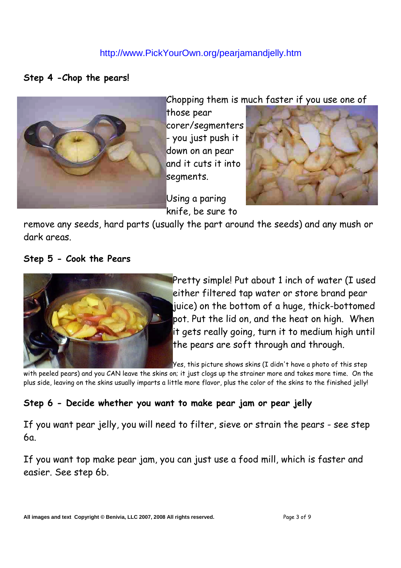#### **Step 4 -Chop the pears!**



Chopping them is much faster if you use one of

those pear corer/segmenters - you just push it down on an pear and it cuts it into segments.

Using a paring knife, be sure to



remove any seeds, hard parts (usually the part around the seeds) and any mush or dark areas.

**Step 5 - Cook the Pears**



Pretty simple! Put about 1 inch of water (I used either filtered tap water or store brand pear juice) on the bottom of a huge, thick-bottomed pot. Put the lid on, and the heat on high. When it gets really going, turn it to medium high until the pears are soft through and through.

Yes, this picture shows skins (I didn't have a photo of this step

with peeled pears) and you CAN leave the skins on; it just clogs up the strainer more and takes more time. On the plus side, leaving on the skins usually imparts a little more flavor, plus the color of the skins to the finished jelly!

#### **Step 6 - Decide whether you want to make pear jam or pear jelly**

If you want pear jelly, you will need to filter, sieve or strain the pears - see step  $6a$ 

If you want top make pear jam, you can just use a food mill, which is faster and easier. See step 6b.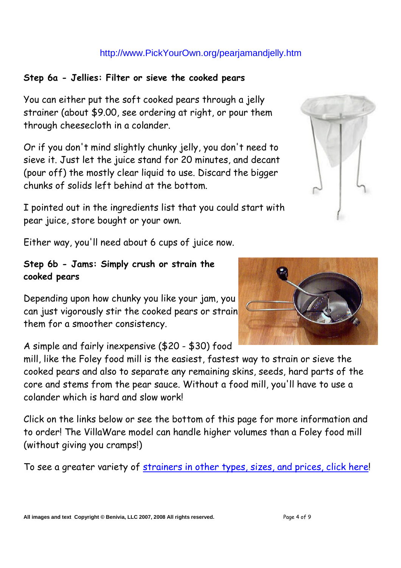#### **Step 6a - Jellies: Filter or sieve the cooked pears**

You can either put the soft cooked pears through a jelly strainer (about \$9.00, see ordering at right, or pour them through cheesecloth in a colander.

Or if you don't mind slightly chunky jelly, you don't need to sieve it. Just let the juice stand for 20 minutes, and decant (pour off) the mostly clear liquid to use. Discard the bigger chunks of solids left behind at the bottom.

I pointed out in the ingredients list that you could start with pear juice, store bought or your own.

Either way, you'll need about 6 cups of juice now.

#### **Step 6b - Jams: Simply crush or strain the cooked pears**

Depending upon how chunky you like your jam, you can just vigorously stir the cooked pears or strain them for a smoother consistency.

A simple and fairly inexpensive (\$20 - \$30) food

mill, like the Foley food mill is the easiest, fastest way to strain or sieve the cooked pears and also to separate any remaining skins, seeds, hard parts of the core and stems from the pear sauce. Without a food mill, you'll have to use a colander which is hard and slow work!

Click on the links below or see the bottom of this page for more information and to order! The VillaWare model can handle higher volumes than a Foley food mill (without giving you cramps!)

To see a greater variety of strainers in other types, sizes, and prices, click here!



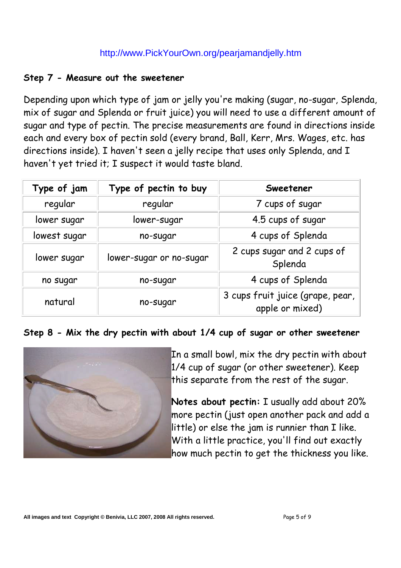#### **Step 7 - Measure out the sweetener**

Depending upon which type of jam or jelly you're making (sugar, no-sugar, Splenda, mix of sugar and Splenda or fruit juice) you will need to use a different amount of sugar and type of pectin. The precise measurements are found in directions inside each and every box of pectin sold (every brand, Ball, Kerr, Mrs. Wages, etc. has directions inside). I haven't seen a jelly recipe that uses only Splenda, and I haven't yet tried it; I suspect it would taste bland.

| Type of jam  | Type of pectin to buy   | <b>Sweetener</b>                                    |
|--------------|-------------------------|-----------------------------------------------------|
| regular      | regular                 | 7 cups of sugar                                     |
| lower sugar  | lower-sugar             | 4.5 cups of sugar                                   |
| lowest sugar | no-sugar                | 4 cups of Splenda                                   |
| lower sugar  | lower-sugar or no-sugar | 2 cups sugar and 2 cups of<br>Splenda               |
| no sugar     | no-sugar                | 4 cups of Splenda                                   |
| natural      | no-sugar                | 3 cups fruit juice (grape, pear,<br>apple or mixed) |

**Step 8 - Mix the dry pectin with about 1/4 cup of sugar or other sweetener**



In a small bowl, mix the dry pectin with about 1/4 cup of sugar (or other sweetener). Keep this separate from the rest of the sugar.

**Notes about pectin:** I usually add about 20% more pectin (just open another pack and add a little) or else the jam is runnier than I like. With a little practice, you'll find out exactly how much pectin to get the thickness you like.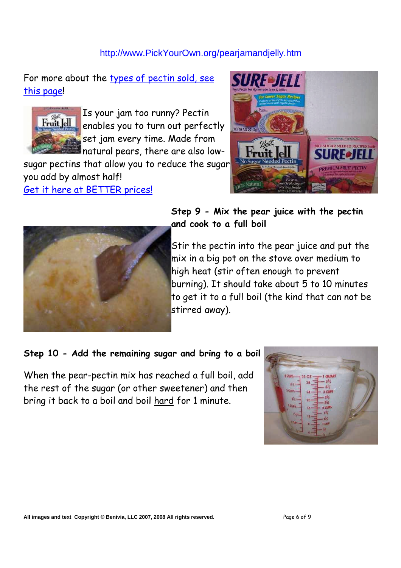For more about the types of pectin sold, see this page!



Is your jam too runny? Pectin enables you to turn out perfectly set jam every time. Made from natural pears, there are also low-

sugar pectins that allow you to reduce the sugar you add by almost half!

Get it here at BETTER prices!





#### **Step 9 - Mix the pear juice with the pectin and cook to a full boil**

Stir the pectin into the pear juice and put the mix in a big pot on the stove over medium to high heat (stir often enough to prevent burning). It should take about 5 to 10 minutes to get it to a full boil (the kind that can not be stirred away).

#### **Step 10 - Add the remaining sugar and bring to a boil**

When the pear-pectin mix has reached a full boil, add the rest of the sugar (or other sweetener) and then bring it back to a boil and boil hard for 1 minute.

| QUART<br>32 OZ<br>4 C<br>28<br>a cue<br><b>UPS</b> |  |
|----------------------------------------------------|--|
| 20<br>2 CUP<br><b>UPS</b><br>16<br>v.<br>12        |  |
|                                                    |  |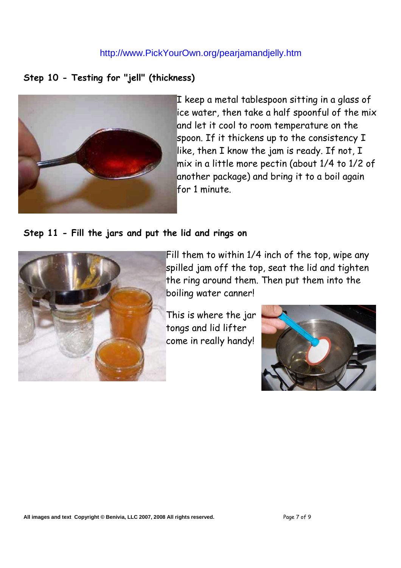#### **Step 10 - Testing for "jell" (thickness)**



I keep a metal tablespoon sitting in a glass of ice water, then take a half spoonful of the mix and let it cool to room temperature on the spoon. If it thickens up to the consistency I like, then I know the jam is ready. If not, I mix in a little more pectin (about 1/4 to 1/2 of another package) and bring it to a boil again for 1 minute.

#### **Step 11 - Fill the jars and put the lid and rings on**



Fill them to within 1/4 inch of the top, wipe any spilled jam off the top, seat the lid and tighten the ring around them. Then put them into the boiling water canner!

This is where the jar tongs and lid lifter come in really handy!

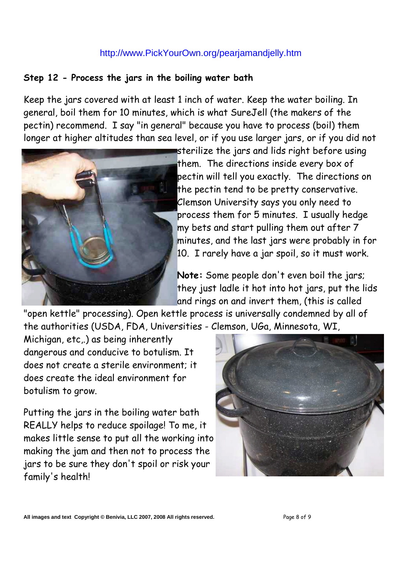#### **Step 12 - Process the jars in the boiling water bath**

Keep the jars covered with at least 1 inch of water. Keep the water boiling. In general, boil them for 10 minutes, which is what SureJell (the makers of the pectin) recommend. I say "in general" because you have to process (boil) them longer at higher altitudes than sea level, or if you use larger jars, or if you did not



sterilize the jars and lids right before using them. The directions inside every box of pectin will tell you exactly. The directions on the pectin tend to be pretty conservative. Clemson University says you only need to process them for 5 minutes. I usually hedge my bets and start pulling them out after 7 minutes, and the last jars were probably in for 10. I rarely have a jar spoil, so it must work.

**Note:** Some people don't even boil the jars; they just ladle it hot into hot jars, put the lids and rings on and invert them, (this is called

"open kettle" processing). Open kettle process is universally condemned by all of the authorities (USDA, FDA, Universities - Clemson, UGa, Minnesota, WI,

Michigan, etc,.) as being inherently dangerous and conducive to botulism. It does not create a sterile environment; it does create the ideal environment for botulism to grow.

Putting the jars in the boiling water bath REALLY helps to reduce spoilage! To me, it makes little sense to put all the working into making the jam and then not to process the jars to be sure they don't spoil or risk your family's health!



**All images and text Copyright © Benivia, LLC 2007, 2008 All rights reserved.** Page 8 of 9